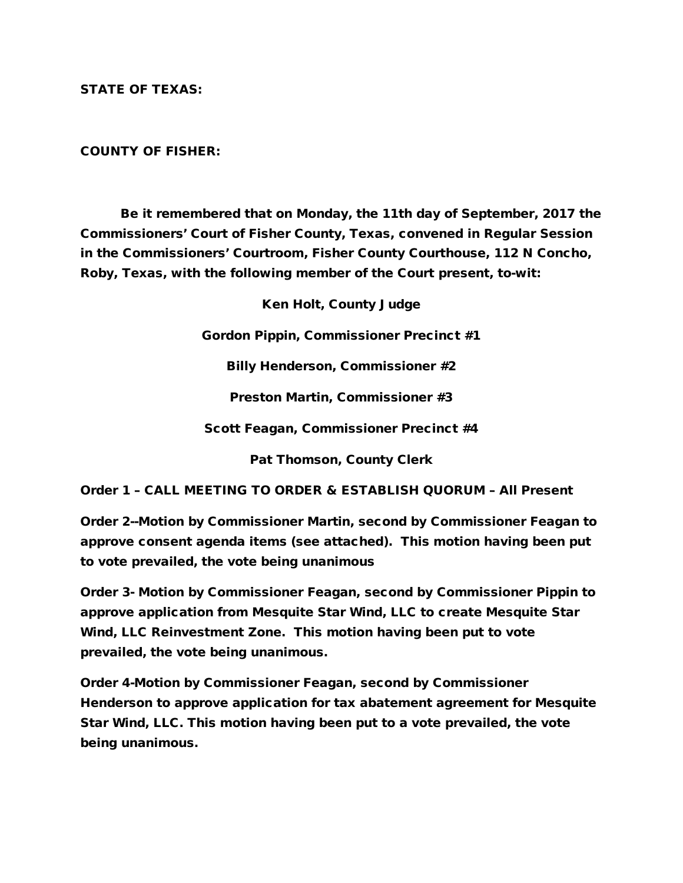STATE OF TEXAS:

## COUNTY OF FISHER:

Be it remembered that on Monday, the 11th day of September, 2017 the Commissioners' Court of Fisher County, Texas, convened in Regular Session in the Commissioners' Courtroom, Fisher County Courthouse, 112 N Concho, Roby, Texas, with the following member of the Court present, to-wit:

Ken Holt, County Judge

Gordon Pippin, Commissioner Precinct #1

Billy Henderson, Commissioner #2

Preston Martin, Commissioner #3

Scott Feagan, Commissioner Precinct #4

Pat Thomson, County Clerk

Order 1 – CALL MEETING TO ORDER & ESTABLISH QUORUM – All Present

Order 2--Motion by Commissioner Martin, second by Commissioner Feagan to approve consent agenda items (see attached). This motion having been put to vote prevailed, the vote being unanimous

Order 3- Motion by Commissioner Feagan, second by Commissioner Pippin to approve application from Mesquite Star Wind, LLC to create Mesquite Star Wind, LLC Reinvestment Zone. This motion having been put to vote prevailed, the vote being unanimous.

Order 4-Motion by Commissioner Feagan, second by Commissioner Henderson to approve application for tax abatement agreement for Mesquite Star Wind, LLC. This motion having been put to a vote prevailed, the vote being unanimous.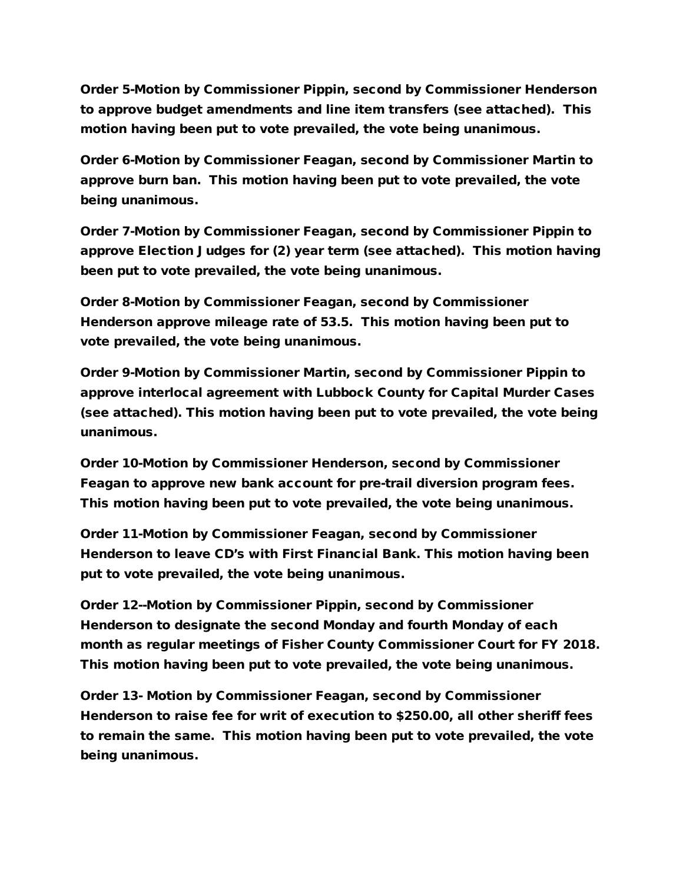Order 5-Motion by Commissioner Pippin, second by Commissioner Henderson to approve budget amendments and line item transfers (see attached). This motion having been put to vote prevailed, the vote being unanimous.

Order 6-Motion by Commissioner Feagan, second by Commissioner Martin to approve burn ban. This motion having been put to vote prevailed, the vote being unanimous.

Order 7-Motion by Commissioner Feagan, second by Commissioner Pippin to approve Election Judges for (2) year term (see attached). This motion having been put to vote prevailed, the vote being unanimous.

Order 8-Motion by Commissioner Feagan, second by Commissioner Henderson approve mileage rate of 53.5. This motion having been put to vote prevailed, the vote being unanimous.

Order 9-Motion by Commissioner Martin, second by Commissioner Pippin to approve interlocal agreement with Lubbock County for Capital Murder Cases (see attached). This motion having been put to vote prevailed, the vote being unanimous.

Order 10-Motion by Commissioner Henderson, second by Commissioner Feagan to approve new bank account for pre-trail diversion program fees. This motion having been put to vote prevailed, the vote being unanimous.

Order 11-Motion by Commissioner Feagan, second by Commissioner Henderson to leave CD's with First Financial Bank. This motion having been put to vote prevailed, the vote being unanimous.

Order 12--Motion by Commissioner Pippin, second by Commissioner Henderson to designate the second Monday and fourth Monday of each month as regular meetings of Fisher County Commissioner Court for FY 2018. This motion having been put to vote prevailed, the vote being unanimous.

Order 13- Motion by Commissioner Feagan, second by Commissioner Henderson to raise fee for writ of execution to \$250.00, all other sheriff fees to remain the same. This motion having been put to vote prevailed, the vote being unanimous.